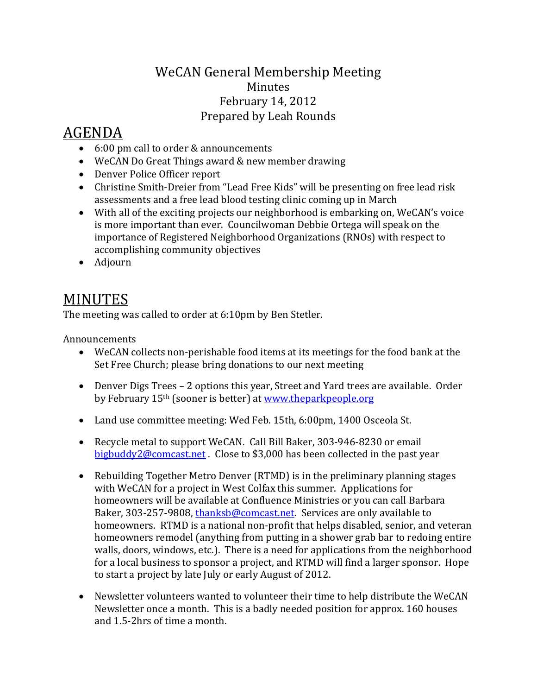## WeCAN General Membership Meeting Minutes February 14, 2012 Prepared by Leah Rounds

## AGENDA

- 6:00 pm call to order & announcements
- WeCAN Do Great Things award & new member drawing
- Denver Police Officer report
- Christine Smith-Dreier from "Lead Free Kids" will be presenting on free lead risk assessments and a free lead blood testing clinic coming up in March
- With all of the exciting projects our neighborhood is embarking on, WeCAN's voice is more important than ever. Councilwoman Debbie Ortega will speak on the importance of Registered Neighborhood Organizations (RNOs) with respect to accomplishing community objectives
- Adjourn

## MINUTES

The meeting was called to order at 6:10pm by Ben Stetler.

Announcements

- WeCAN collects non-perishable food items at its meetings for the food bank at the Set Free Church; please bring donations to our next meeting
- Denver Digs Trees 2 options this year, Street and Yard trees are available. Order by February 15<sup>th</sup> (sooner is better) at [www.theparkpeople.org](http://www.theparkpeople.org/)
- Land use committee meeting: Wed Feb. 15th, 6:00pm, 1400 Osceola St.
- Recycle metal to support WeCAN. Call Bill Baker, 303-946-8230 or email bigbuddy2@comcast.net . Close to \$3,000 has been collected in the past year
- Rebuilding Together Metro Denver (RTMD) is in the preliminary planning stages with WeCAN for a project in West Colfax this summer. Applications for homeowners will be available at Confluence Ministries or you can call Barbara Baker, 303-257-9808, [thanksb@comcast.net.](mailto:thanksb@comcast.net) Services are only available to homeowners. RTMD is a national non-profit that helps disabled, senior, and veteran homeowners remodel (anything from putting in a shower grab bar to redoing entire walls, doors, windows, etc.). There is a need for applications from the neighborhood for a local business to sponsor a project, and RTMD will find a larger sponsor. Hope to start a project by late July or early August of 2012.
- Newsletter volunteers wanted to volunteer their time to help distribute the WeCAN Newsletter once a month. This is a badly needed position for approx. 160 houses and 1.5-2hrs of time a month.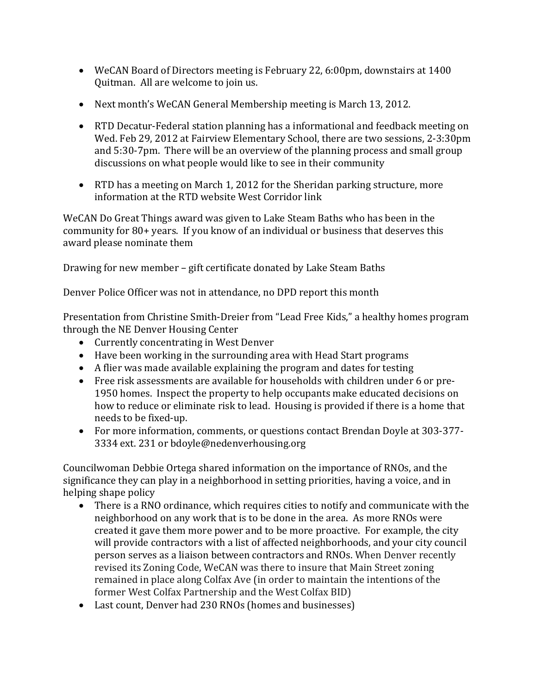- WeCAN Board of Directors meeting is February 22, 6:00pm, downstairs at 1400 Quitman. All are welcome to join us.
- Next month's WeCAN General Membership meeting is March 13, 2012.
- RTD Decatur-Federal station planning has a informational and feedback meeting on Wed. Feb 29, 2012 at Fairview Elementary School, there are two sessions, 2-3:30pm and 5:30-7pm. There will be an overview of the planning process and small group discussions on what people would like to see in their community
- RTD has a meeting on March 1, 2012 for the Sheridan parking structure, more information at the RTD website West Corridor link

WeCAN Do Great Things award was given to Lake Steam Baths who has been in the community for 80+ years. If you know of an individual or business that deserves this award please nominate them

Drawing for new member – gift certificate donated by Lake Steam Baths

Denver Police Officer was not in attendance, no DPD report this month

Presentation from Christine Smith-Dreier from "Lead Free Kids," a healthy homes program through the NE Denver Housing Center

- Currently concentrating in West Denver
- Have been working in the surrounding area with Head Start programs
- A flier was made available explaining the program and dates for testing
- Free risk assessments are available for households with children under 6 or pre-1950 homes. Inspect the property to help occupants make educated decisions on how to reduce or eliminate risk to lead. Housing is provided if there is a home that needs to be fixed-up.
- For more information, comments, or questions contact Brendan Doyle at 303-377- 3334 ext. 231 or bdoyle@nedenverhousing.org

Councilwoman Debbie Ortega shared information on the importance of RNOs, and the significance they can play in a neighborhood in setting priorities, having a voice, and in helping shape policy

- There is a RNO ordinance, which requires cities to notify and communicate with the neighborhood on any work that is to be done in the area. As more RNOs were created it gave them more power and to be more proactive. For example, the city will provide contractors with a list of affected neighborhoods, and your city council person serves as a liaison between contractors and RNOs. When Denver recently revised its Zoning Code, WeCAN was there to insure that Main Street zoning remained in place along Colfax Ave (in order to maintain the intentions of the former West Colfax Partnership and the West Colfax BID)
- Last count, Denver had 230 RNOs (homes and businesses)